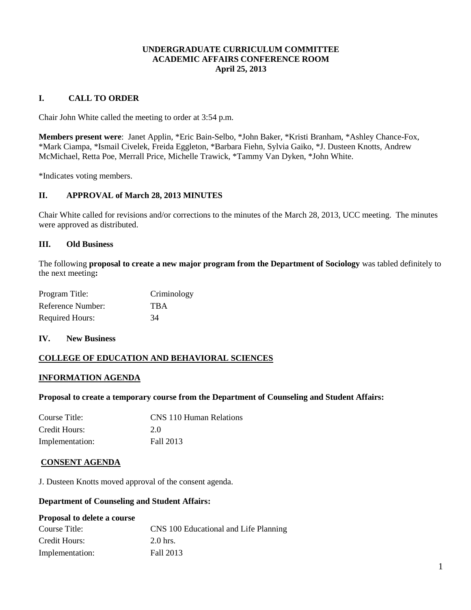### **UNDERGRADUATE CURRICULUM COMMITTEE ACADEMIC AFFAIRS CONFERENCE ROOM April 25, 2013**

# **I. CALL TO ORDER**

Chair John White called the meeting to order at 3:54 p.m.

**Members present were**: Janet Applin, \*Eric Bain-Selbo, \*John Baker, \*Kristi Branham, \*Ashley Chance-Fox, \*Mark Ciampa, \*Ismail Civelek, Freida Eggleton, \*Barbara Fiehn, Sylvia Gaiko, \*J. Dusteen Knotts, Andrew McMichael, Retta Poe, Merrall Price, Michelle Trawick, \*Tammy Van Dyken, \*John White.

\*Indicates voting members.

# **II. APPROVAL of March 28, 2013 MINUTES**

Chair White called for revisions and/or corrections to the minutes of the March 28, 2013, UCC meeting. The minutes were approved as distributed.

### **III. Old Business**

The following **proposal to create a new major program from the Department of Sociology** was tabled definitely to the next meeting**:**

| Program Title:         | Criminology |
|------------------------|-------------|
| Reference Number:      | <b>TBA</b>  |
| <b>Required Hours:</b> | 34          |

**IV. New Business**

# **COLLEGE OF EDUCATION AND BEHAVIORAL SCIENCES**

### **INFORMATION AGENDA**

### **Proposal to create a temporary course from the Department of Counseling and Student Affairs:**

| Course Title:   | CNS 110 Human Relations |
|-----------------|-------------------------|
| Credit Hours:   | 2.0                     |
| Implementation: | Fall 2013               |

### **CONSENT AGENDA**

J. Dusteen Knotts moved approval of the consent agenda.

### **Department of Counseling and Student Affairs:**

# **Proposal to delete a course**

| Course Title:   | CNS 100 Educational and Life Planning |
|-----------------|---------------------------------------|
| Credit Hours:   | 2.0 hrs.                              |
| Implementation: | Fall 2013                             |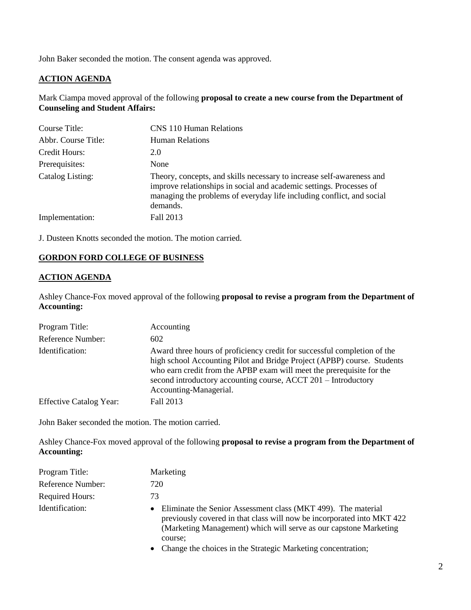John Baker seconded the motion. The consent agenda was approved.

# **ACTION AGENDA**

Mark Ciampa moved approval of the following **proposal to create a new course from the Department of Counseling and Student Affairs:**

| Course Title:       | <b>CNS</b> 110 Human Relations                                                                                                                                                                                                    |
|---------------------|-----------------------------------------------------------------------------------------------------------------------------------------------------------------------------------------------------------------------------------|
| Abbr. Course Title: | <b>Human Relations</b>                                                                                                                                                                                                            |
| Credit Hours:       | 2.0                                                                                                                                                                                                                               |
| Prerequisites:      | None                                                                                                                                                                                                                              |
| Catalog Listing:    | Theory, concepts, and skills necessary to increase self-awareness and<br>improve relationships in social and academic settings. Processes of<br>managing the problems of everyday life including conflict, and social<br>demands. |
| Implementation:     | Fall 2013                                                                                                                                                                                                                         |

J. Dusteen Knotts seconded the motion. The motion carried.

# **GORDON FORD COLLEGE OF BUSINESS**

# **ACTION AGENDA**

Ashley Chance-Fox moved approval of the following **proposal to revise a program from the Department of Accounting:**

| Program Title:                 | Accounting                                                                                                                                                                                                                                                                                                               |
|--------------------------------|--------------------------------------------------------------------------------------------------------------------------------------------------------------------------------------------------------------------------------------------------------------------------------------------------------------------------|
| Reference Number:              | 602                                                                                                                                                                                                                                                                                                                      |
| Identification:                | Award three hours of proficiency credit for successful completion of the<br>high school Accounting Pilot and Bridge Project (APBP) course. Students<br>who earn credit from the APBP exam will meet the prerequisite for the<br>second introductory accounting course, ACCT 201 - Introductory<br>Accounting-Managerial. |
| <b>Effective Catalog Year:</b> | Fall 2013                                                                                                                                                                                                                                                                                                                |

John Baker seconded the motion. The motion carried.

Ashley Chance-Fox moved approval of the following **proposal to revise a program from the Department of Accounting:**

| Program Title:         | Marketing                                                                                                                                                                                                                                                                                |
|------------------------|------------------------------------------------------------------------------------------------------------------------------------------------------------------------------------------------------------------------------------------------------------------------------------------|
| Reference Number:      | 720                                                                                                                                                                                                                                                                                      |
| <b>Required Hours:</b> | 73                                                                                                                                                                                                                                                                                       |
| Identification:        | Eliminate the Senior Assessment class (MKT 499). The material<br>previously covered in that class will now be incorporated into MKT 422<br>(Marketing Management) which will serve as our capstone Marketing<br>course:<br>• Change the choices in the Ctrategie Meridian concentration. |

• Change the choices in the Strategic Marketing concentration;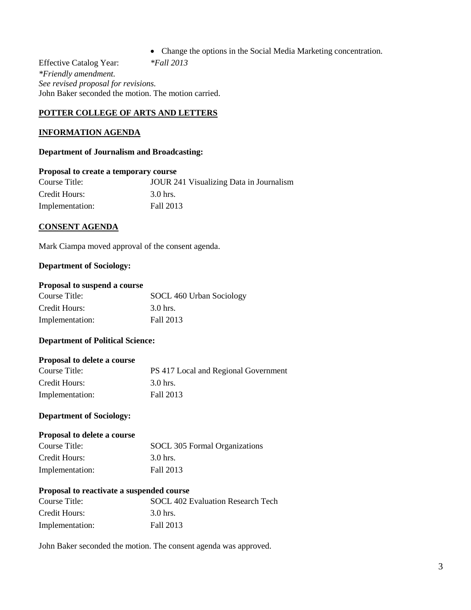Change the options in the Social Media Marketing concentration.

Effective Catalog Year: *\*Fall 2013 \*Friendly amendment. See revised proposal for revisions.* John Baker seconded the motion. The motion carried.

### **POTTER COLLEGE OF ARTS AND LETTERS**

### **INFORMATION AGENDA**

### **Department of Journalism and Broadcasting:**

### **Proposal to create a temporary course**

| Course Title:   | JOUR 241 Visualizing Data in Journalism |
|-----------------|-----------------------------------------|
| Credit Hours:   | 3.0 hrs.                                |
| Implementation: | Fall 2013                               |

### **CONSENT AGENDA**

Mark Ciampa moved approval of the consent agenda.

### **Department of Sociology:**

### **Proposal to suspend a course**

| Course Title:   | SOCL 460 Urban Sociology |
|-----------------|--------------------------|
| Credit Hours:   | 3.0 hrs.                 |
| Implementation: | Fall 2013                |

### **Department of Political Science:**

### **Proposal to delete a course**

| Course Title:   | PS 417 Local and Regional Government |
|-----------------|--------------------------------------|
| Credit Hours:   | 3.0 hrs.                             |
| Implementation: | Fall 2013                            |

# **Department of Sociology:**

### **Proposal to delete a course**

| Course Title:   | SOCL 305 Formal Organizations |
|-----------------|-------------------------------|
| Credit Hours:   | 3.0 hrs.                      |
| Implementation: | Fall 2013                     |

### **Proposal to reactivate a suspended course**

| Course Title:   | SOCL 402 Evaluation Research Tech |
|-----------------|-----------------------------------|
| Credit Hours:   | 3.0 hrs.                          |
| Implementation: | Fall 2013                         |

John Baker seconded the motion. The consent agenda was approved.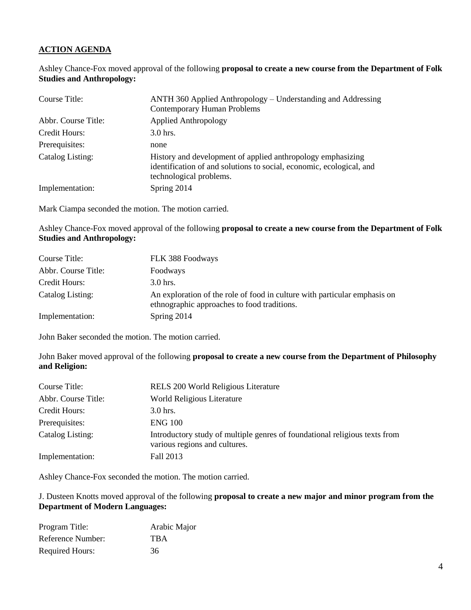# **ACTION AGENDA**

Ashley Chance-Fox moved approval of the following **proposal to create a new course from the Department of Folk Studies and Anthropology:**

| Course Title:       | ANTH 360 Applied Anthropology – Understanding and Addressing<br><b>Contemporary Human Problems</b>                                                             |
|---------------------|----------------------------------------------------------------------------------------------------------------------------------------------------------------|
| Abbr. Course Title: | <b>Applied Anthropology</b>                                                                                                                                    |
| Credit Hours:       | $3.0$ hrs.                                                                                                                                                     |
| Prerequisites:      | none                                                                                                                                                           |
| Catalog Listing:    | History and development of applied anthropology emphasizing<br>identification of and solutions to social, economic, ecological, and<br>technological problems. |
| Implementation:     | Spring 2014                                                                                                                                                    |

Mark Ciampa seconded the motion. The motion carried.

Ashley Chance-Fox moved approval of the following **proposal to create a new course from the Department of Folk Studies and Anthropology:**

| Course Title:       | FLK 388 Foodways                                                                                                         |
|---------------------|--------------------------------------------------------------------------------------------------------------------------|
| Abbr. Course Title: | Foodways                                                                                                                 |
| Credit Hours:       | $3.0$ hrs.                                                                                                               |
| Catalog Listing:    | An exploration of the role of food in culture with particular emphasis on<br>ethnographic approaches to food traditions. |
| Implementation:     | Spring 2014                                                                                                              |

John Baker seconded the motion. The motion carried.

John Baker moved approval of the following **proposal to create a new course from the Department of Philosophy and Religion:**

| Course Title:       | RELS 200 World Religious Literature                                                                         |
|---------------------|-------------------------------------------------------------------------------------------------------------|
| Abbr. Course Title: | World Religious Literature                                                                                  |
| Credit Hours:       | $3.0$ hrs.                                                                                                  |
| Prerequisites:      | <b>ENG 100</b>                                                                                              |
| Catalog Listing:    | Introductory study of multiple genres of foundational religious texts from<br>various regions and cultures. |
| Implementation:     | Fall 2013                                                                                                   |

Ashley Chance-Fox seconded the motion. The motion carried.

# J. Dusteen Knotts moved approval of the following **proposal to create a new major and minor program from the Department of Modern Languages:**

| Program Title:         | Arabic Major |
|------------------------|--------------|
| Reference Number:      | <b>TBA</b>   |
| <b>Required Hours:</b> | 36           |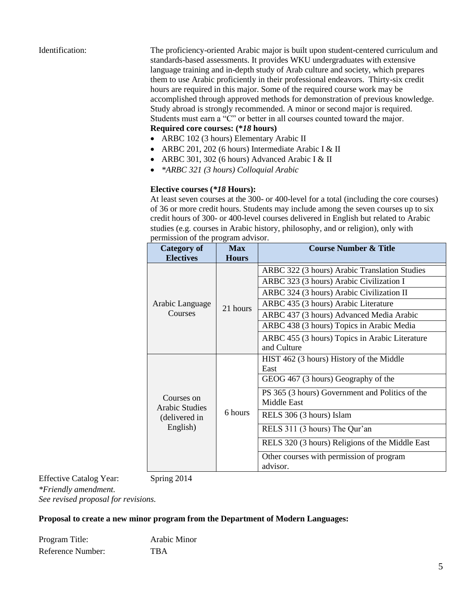Identification: The proficiency-oriented Arabic major is built upon student-centered curriculum and standards-based assessments. It provides WKU undergraduates with extensive language training and in-depth study of Arab culture and society, which prepares them to use Arabic proficiently in their professional endeavors. Thirty-six credit hours are required in this major. Some of the required course work may be accomplished through approved methods for demonstration of previous knowledge. Study abroad is strongly recommended. A minor or second major is required. Students must earn a "C" or better in all courses counted toward the major. **Required core courses: (\****18* **hours)**

- ARBC 102 (3 hours) Elementary Arabic II
- ARBC 201, 202 (6 hours) Intermediate Arabic I & II
- ARBC 301, 302 (6 hours) Advanced Arabic I & II
- *\*ARBC 321 (3 hours) Colloquial Arabic*

### **Elective courses (***\*18* **Hours):**

At least seven courses at the 300- or 400-level for a total (including the core courses) of 36 or more credit hours. Students may include among the seven courses up to six credit hours of 300- or 400-level courses delivered in English but related to Arabic studies (e.g. courses in Arabic history, philosophy, and or religion), only with permission of the program advisor.

| <b>Category of</b><br><b>Electives</b>                           | <b>Max</b><br><b>Hours</b> | <b>Course Number &amp; Title</b>                |
|------------------------------------------------------------------|----------------------------|-------------------------------------------------|
|                                                                  |                            |                                                 |
| Arabic Language                                                  | 21 hours                   | ARBC 322 (3 hours) Arabic Translation Studies   |
|                                                                  |                            | ARBC 323 (3 hours) Arabic Civilization I        |
|                                                                  |                            | ARBC 324 (3 hours) Arabic Civilization II       |
|                                                                  |                            | ARBC 435 (3 hours) Arabic Literature            |
| Courses                                                          |                            | ARBC 437 (3 hours) Advanced Media Arabic        |
|                                                                  |                            | ARBC 438 (3 hours) Topics in Arabic Media       |
|                                                                  |                            | ARBC 455 (3 hours) Topics in Arabic Literature  |
|                                                                  |                            | and Culture                                     |
|                                                                  |                            | HIST 462 (3 hours) History of the Middle        |
| Courses on<br><b>Arabic Studies</b><br>(delivered in<br>English) | 6 hours                    | East                                            |
|                                                                  |                            | GEOG 467 (3 hours) Geography of the             |
|                                                                  |                            | PS 365 (3 hours) Government and Politics of the |
|                                                                  |                            | Middle East                                     |
|                                                                  |                            | RELS 306 (3 hours) Islam                        |
|                                                                  |                            | RELS 311 (3 hours) The Qur'an                   |
|                                                                  |                            | RELS 320 (3 hours) Religions of the Middle East |
|                                                                  |                            | Other courses with permission of program        |
|                                                                  |                            | advisor.                                        |

Effective Catalog Year: Spring 2014 *\*Friendly amendment. See revised proposal for revisions.*

### **Proposal to create a new minor program from the Department of Modern Languages:**

Program Title: Arabic Minor Reference Number: TBA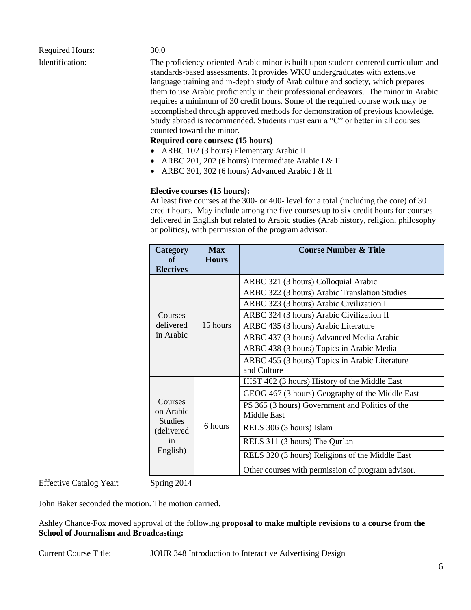# Required Hours: 30.0

Identification: The proficiency-oriented Arabic minor is built upon student-centered curriculum and standards-based assessments. It provides WKU undergraduates with extensive language training and in-depth study of Arab culture and society, which prepares them to use Arabic proficiently in their professional endeavors. The minor in Arabic requires a minimum of 30 credit hours. Some of the required course work may be accomplished through approved methods for demonstration of previous knowledge. Study abroad is recommended. Students must earn a "C" or better in all courses counted toward the minor.

# **Required core courses: (15 hours)**

- ARBC 102 (3 hours) Elementary Arabic II
- ARBC 201, 202 (6 hours) Intermediate Arabic I & II
- ARBC 301, 302 (6 hours) Advanced Arabic I & II

# **Elective courses (15 hours):**

At least five courses at the 300- or 400- level for a total (including the core) of 30 credit hours. May include among the five courses up to six credit hours for courses delivered in English but related to Arabic studies (Arab history, religion, philosophy or politics), with permission of the program advisor.

| Category<br>of                                                          | <b>Max</b><br><b>Hours</b> | <b>Course Number &amp; Title</b>                  |
|-------------------------------------------------------------------------|----------------------------|---------------------------------------------------|
| <b>Electives</b>                                                        |                            |                                                   |
| Courses                                                                 |                            | ARBC 321 (3 hours) Colloquial Arabic              |
|                                                                         |                            | ARBC 322 (3 hours) Arabic Translation Studies     |
|                                                                         |                            | ARBC 323 (3 hours) Arabic Civilization I          |
|                                                                         |                            | ARBC 324 (3 hours) Arabic Civilization II         |
| delivered                                                               | 15 hours                   | ARBC 435 (3 hours) Arabic Literature              |
| in Arabic                                                               |                            | ARBC 437 (3 hours) Advanced Media Arabic          |
|                                                                         |                            | ARBC 438 (3 hours) Topics in Arabic Media         |
|                                                                         |                            | ARBC 455 (3 hours) Topics in Arabic Literature    |
|                                                                         |                            | and Culture                                       |
| Courses<br>on Arabic<br><b>Studies</b><br>(delivered)<br>in<br>English) |                            | HIST 462 (3 hours) History of the Middle East     |
|                                                                         |                            | GEOG 467 (3 hours) Geography of the Middle East   |
|                                                                         |                            | PS 365 (3 hours) Government and Politics of the   |
|                                                                         |                            | Middle East                                       |
|                                                                         | 6 hours                    | RELS 306 (3 hours) Islam                          |
|                                                                         |                            | RELS 311 (3 hours) The Qur'an                     |
|                                                                         |                            | RELS 320 (3 hours) Religions of the Middle East   |
|                                                                         |                            | Other courses with permission of program advisor. |

Effective Catalog Year: Spring 2014

John Baker seconded the motion. The motion carried.

Ashley Chance-Fox moved approval of the following **proposal to make multiple revisions to a course from the School of Journalism and Broadcasting:**

Current Course Title: JOUR 348 Introduction to Interactive Advertising Design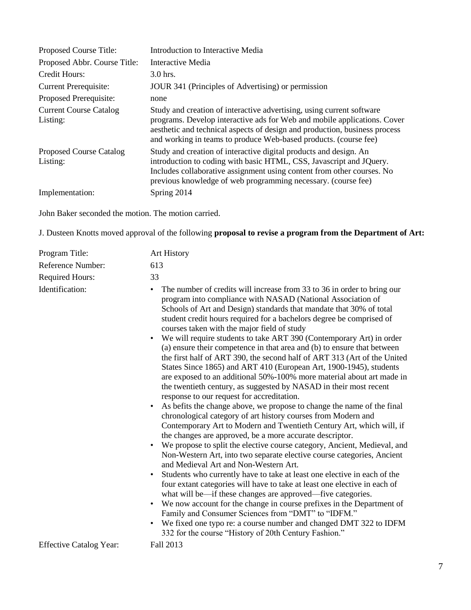| Proposed Course Title:                     | Introduction to Interactive Media                                                                                                                                                                                                                                                                   |
|--------------------------------------------|-----------------------------------------------------------------------------------------------------------------------------------------------------------------------------------------------------------------------------------------------------------------------------------------------------|
| Proposed Abbr. Course Title:               | Interactive Media                                                                                                                                                                                                                                                                                   |
| Credit Hours:                              | $3.0$ hrs.                                                                                                                                                                                                                                                                                          |
| <b>Current Prerequisite:</b>               | JOUR 341 (Principles of Advertising) or permission                                                                                                                                                                                                                                                  |
| Proposed Prerequisite:                     | none                                                                                                                                                                                                                                                                                                |
| <b>Current Course Catalog</b><br>Listing:  | Study and creation of interactive advertising, using current software<br>programs. Develop interactive ads for Web and mobile applications. Cover<br>aesthetic and technical aspects of design and production, business process<br>and working in teams to produce Web-based products. (course fee) |
| <b>Proposed Course Catalog</b><br>Listing: | Study and creation of interactive digital products and design. An<br>introduction to coding with basic HTML, CSS, Javascript and JQuery.<br>Includes collaborative assignment using content from other courses. No<br>previous knowledge of web programming necessary. (course fee)                 |
| Implementation:                            | Spring 2014                                                                                                                                                                                                                                                                                         |

John Baker seconded the motion. The motion carried.

J. Dusteen Knotts moved approval of the following **proposal to revise a program from the Department of Art:**

| Program Title:                 | Art History                                                                                                                                                                                                                                                                                                                                                                                                                                                                                                                                                                                                                                                                                                                                                                                                                                                                                                                                                                                                                                                                                                                                                                                                                                                                                                                                                                                                                                                                                                                                                                                                                                                                                                                                                                                                                                                               |
|--------------------------------|---------------------------------------------------------------------------------------------------------------------------------------------------------------------------------------------------------------------------------------------------------------------------------------------------------------------------------------------------------------------------------------------------------------------------------------------------------------------------------------------------------------------------------------------------------------------------------------------------------------------------------------------------------------------------------------------------------------------------------------------------------------------------------------------------------------------------------------------------------------------------------------------------------------------------------------------------------------------------------------------------------------------------------------------------------------------------------------------------------------------------------------------------------------------------------------------------------------------------------------------------------------------------------------------------------------------------------------------------------------------------------------------------------------------------------------------------------------------------------------------------------------------------------------------------------------------------------------------------------------------------------------------------------------------------------------------------------------------------------------------------------------------------------------------------------------------------------------------------------------------------|
| Reference Number:              | 613                                                                                                                                                                                                                                                                                                                                                                                                                                                                                                                                                                                                                                                                                                                                                                                                                                                                                                                                                                                                                                                                                                                                                                                                                                                                                                                                                                                                                                                                                                                                                                                                                                                                                                                                                                                                                                                                       |
| <b>Required Hours:</b>         | 33                                                                                                                                                                                                                                                                                                                                                                                                                                                                                                                                                                                                                                                                                                                                                                                                                                                                                                                                                                                                                                                                                                                                                                                                                                                                                                                                                                                                                                                                                                                                                                                                                                                                                                                                                                                                                                                                        |
| Identification:                | The number of credits will increase from 33 to 36 in order to bring our<br>$\bullet$<br>program into compliance with NASAD (National Association of<br>Schools of Art and Design) standards that mandate that 30% of total<br>student credit hours required for a bachelors degree be comprised of<br>courses taken with the major field of study<br>We will require students to take ART 390 (Contemporary Art) in order<br>$\bullet$<br>(a) ensure their competence in that area and (b) to ensure that between<br>the first half of ART 390, the second half of ART 313 (Art of the United<br>States Since 1865) and ART 410 (European Art, 1900-1945), students<br>are exposed to an additional 50%-100% more material about art made in<br>the twentieth century, as suggested by NASAD in their most recent<br>response to our request for accreditation.<br>As befits the change above, we propose to change the name of the final<br>chronological category of art history courses from Modern and<br>Contemporary Art to Modern and Twentieth Century Art, which will, if<br>the changes are approved, be a more accurate descriptor.<br>We propose to split the elective course category, Ancient, Medieval, and<br>Non-Western Art, into two separate elective course categories, Ancient<br>and Medieval Art and Non-Western Art.<br>Students who currently have to take at least one elective in each of the<br>$\bullet$<br>four extant categories will have to take at least one elective in each of<br>what will be—if these changes are approved—five categories.<br>We now account for the change in course prefixes in the Department of<br>$\bullet$<br>Family and Consumer Sciences from "DMT" to "IDFM."<br>We fixed one typo re: a course number and changed DMT 322 to IDFM<br>$\bullet$<br>332 for the course "History of 20th Century Fashion." |
| <b>Effective Catalog Year:</b> | Fall 2013                                                                                                                                                                                                                                                                                                                                                                                                                                                                                                                                                                                                                                                                                                                                                                                                                                                                                                                                                                                                                                                                                                                                                                                                                                                                                                                                                                                                                                                                                                                                                                                                                                                                                                                                                                                                                                                                 |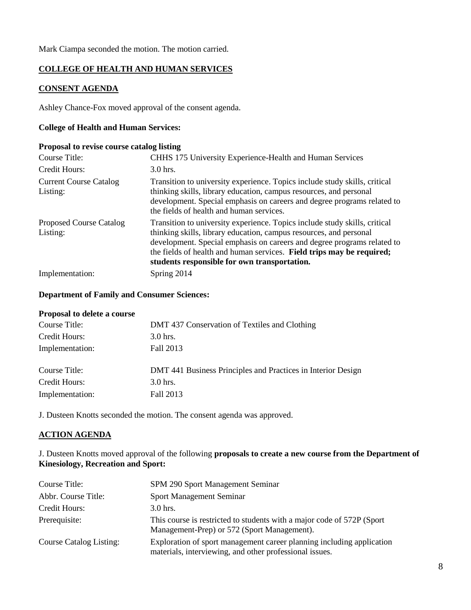Mark Ciampa seconded the motion. The motion carried.

# **COLLEGE OF HEALTH AND HUMAN SERVICES**

### **CONSENT AGENDA**

Ashley Chance-Fox moved approval of the consent agenda.

# **College of Health and Human Services:**

### **Proposal to revise course catalog listing**

| Course Title:                              | CHHS 175 University Experience-Health and Human Services                                                                                                                                                                                                                                                                                             |
|--------------------------------------------|------------------------------------------------------------------------------------------------------------------------------------------------------------------------------------------------------------------------------------------------------------------------------------------------------------------------------------------------------|
| Credit Hours:                              | $3.0$ hrs.                                                                                                                                                                                                                                                                                                                                           |
| <b>Current Course Catalog</b><br>Listing:  | Transition to university experience. Topics include study skills, critical<br>thinking skills, library education, campus resources, and personal<br>development. Special emphasis on careers and degree programs related to<br>the fields of health and human services.                                                                              |
| <b>Proposed Course Catalog</b><br>Listing: | Transition to university experience. Topics include study skills, critical<br>thinking skills, library education, campus resources, and personal<br>development. Special emphasis on careers and degree programs related to<br>the fields of health and human services. Field trips may be required;<br>students responsible for own transportation. |
| Implementation:                            | Spring 2014                                                                                                                                                                                                                                                                                                                                          |

### **Department of Family and Consumer Sciences:**

### **Proposal to delete a course**

| Course Title:   | DMT 437 Conservation of Textiles and Clothing                |
|-----------------|--------------------------------------------------------------|
| Credit Hours:   | 3.0 hrs.                                                     |
| Implementation: | Fall 2013                                                    |
| Course Title:   | DMT 441 Business Principles and Practices in Interior Design |
| Credit Hours:   | $3.0$ hrs.                                                   |
| Implementation: | Fall 2013                                                    |

J. Dusteen Knotts seconded the motion. The consent agenda was approved.

### **ACTION AGENDA**

J. Dusteen Knotts moved approval of the following **proposals to create a new course from the Department of Kinesiology, Recreation and Sport:**

| Course Title:                  | SPM 290 Sport Management Seminar                                                                                                 |
|--------------------------------|----------------------------------------------------------------------------------------------------------------------------------|
| Abbr. Course Title:            | <b>Sport Management Seminar</b>                                                                                                  |
| Credit Hours:                  | $3.0$ hrs.                                                                                                                       |
| Prerequisite:                  | This course is restricted to students with a major code of 572P (Sport)<br>Management-Prep) or 572 (Sport Management).           |
| <b>Course Catalog Listing:</b> | Exploration of sport management career planning including application<br>materials, interviewing, and other professional issues. |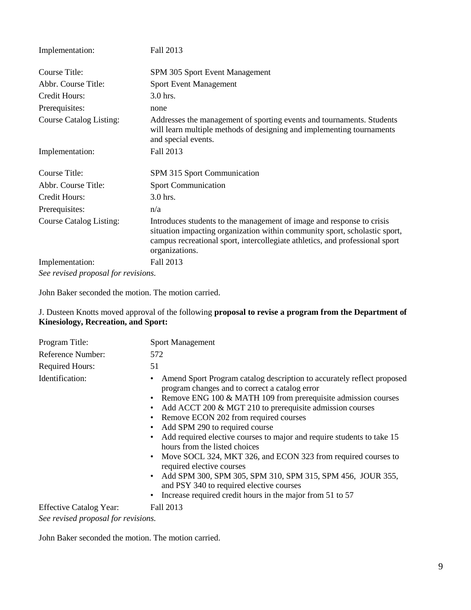| Implementation:                     | Fall 2013                                                                                                                                                                                                                                             |
|-------------------------------------|-------------------------------------------------------------------------------------------------------------------------------------------------------------------------------------------------------------------------------------------------------|
| Course Title:                       | SPM 305 Sport Event Management                                                                                                                                                                                                                        |
| Abbr. Course Title:                 | <b>Sport Event Management</b>                                                                                                                                                                                                                         |
| Credit Hours:                       | 3.0 hrs.                                                                                                                                                                                                                                              |
| Prerequisites:                      | none                                                                                                                                                                                                                                                  |
| <b>Course Catalog Listing:</b>      | Addresses the management of sporting events and tournaments. Students<br>will learn multiple methods of designing and implementing tournaments<br>and special events.                                                                                 |
| Implementation:                     | Fall 2013                                                                                                                                                                                                                                             |
| Course Title:                       | SPM 315 Sport Communication                                                                                                                                                                                                                           |
| Abbr. Course Title:                 | <b>Sport Communication</b>                                                                                                                                                                                                                            |
| Credit Hours:                       | 3.0 hrs.                                                                                                                                                                                                                                              |
| Prerequisites:                      | n/a                                                                                                                                                                                                                                                   |
| <b>Course Catalog Listing:</b>      | Introduces students to the management of image and response to crisis<br>situation impacting organization within community sport, scholastic sport,<br>campus recreational sport, intercollegiate athletics, and professional sport<br>organizations. |
| Implementation:                     | Fall 2013                                                                                                                                                                                                                                             |
| See revised proposal for revisions. |                                                                                                                                                                                                                                                       |

John Baker seconded the motion. The motion carried.

J. Dusteen Knotts moved approval of the following **proposal to revise a program from the Department of Kinesiology, Recreation, and Sport:**

| Program Title:                      | <b>Sport Management</b>                                                                                                                                                                                                                                                                                                                                                                                                                                                                                                                                                                                                                                                                                              |
|-------------------------------------|----------------------------------------------------------------------------------------------------------------------------------------------------------------------------------------------------------------------------------------------------------------------------------------------------------------------------------------------------------------------------------------------------------------------------------------------------------------------------------------------------------------------------------------------------------------------------------------------------------------------------------------------------------------------------------------------------------------------|
| Reference Number:                   | 572                                                                                                                                                                                                                                                                                                                                                                                                                                                                                                                                                                                                                                                                                                                  |
| <b>Required Hours:</b>              | 51                                                                                                                                                                                                                                                                                                                                                                                                                                                                                                                                                                                                                                                                                                                   |
| Identification:                     | Amend Sport Program catalog description to accurately reflect proposed<br>program changes and to correct a catalog error<br>• Remove ENG 100 & MATH 109 from prerequisite admission courses<br>Add ACCT 200 & MGT 210 to prerequisite admission courses<br>Remove ECON 202 from required courses<br>Add SPM 290 to required course<br>Add required elective courses to major and require students to take 15<br>hours from the listed choices<br>• Move SOCL 324, MKT 326, and ECON 323 from required courses to<br>required elective courses<br>Add SPM 300, SPM 305, SPM 310, SPM 315, SPM 456, JOUR 355,<br>and PSY 340 to required elective courses<br>Increase required credit hours in the major from 51 to 57 |
| <b>Effective Catalog Year:</b>      | Fall 2013                                                                                                                                                                                                                                                                                                                                                                                                                                                                                                                                                                                                                                                                                                            |
| See revised proposal for revisions. |                                                                                                                                                                                                                                                                                                                                                                                                                                                                                                                                                                                                                                                                                                                      |

John Baker seconded the motion. The motion carried.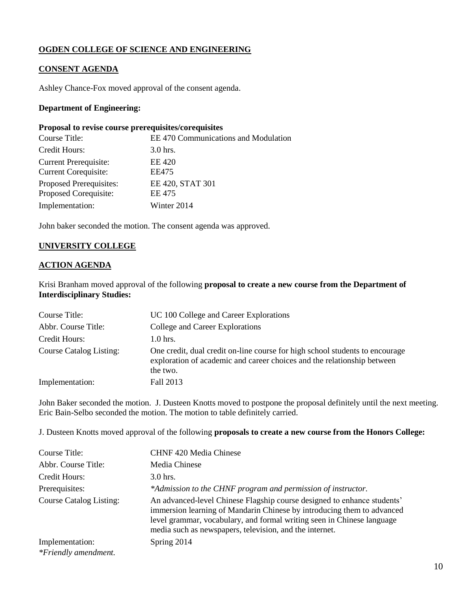# **OGDEN COLLEGE OF SCIENCE AND ENGINEERING**

# **CONSENT AGENDA**

Ashley Chance-Fox moved approval of the consent agenda.

### **Department of Engineering:**

### **Proposal to revise course prerequisites/corequisites**

| Course Title:                                               | EE 470 Communications and Modulation |
|-------------------------------------------------------------|--------------------------------------|
| Credit Hours:                                               | $3.0$ hrs.                           |
| <b>Current Prerequisite:</b><br><b>Current Corequisite:</b> | EE 420<br>EE475                      |
| Proposed Prerequisites:<br>Proposed Corequisite:            | EE 420, STAT 301<br>EE 475           |
| Implementation:                                             | Winter 2014                          |

John baker seconded the motion. The consent agenda was approved.

# **UNIVERSITY COLLEGE**

### **ACTION AGENDA**

Krisi Branham moved approval of the following **proposal to create a new course from the Department of Interdisciplinary Studies:**

| Course Title:                  | UC 100 College and Career Explorations                                                                                                                              |
|--------------------------------|---------------------------------------------------------------------------------------------------------------------------------------------------------------------|
| Abbr. Course Title:            | College and Career Explorations                                                                                                                                     |
| Credit Hours:                  | $1.0$ hrs.                                                                                                                                                          |
| <b>Course Catalog Listing:</b> | One credit, dual credit on-line course for high school students to encourage<br>exploration of academic and career choices and the relationship between<br>the two. |
| Implementation:                | Fall 2013                                                                                                                                                           |

John Baker seconded the motion. J. Dusteen Knotts moved to postpone the proposal definitely until the next meeting. Eric Bain-Selbo seconded the motion. The motion to table definitely carried.

J. Dusteen Knotts moved approval of the following **proposals to create a new course from the Honors College:**

| Course Title:                  | <b>CHNF 420 Media Chinese</b>                                                                                                                                                                                                                                                          |
|--------------------------------|----------------------------------------------------------------------------------------------------------------------------------------------------------------------------------------------------------------------------------------------------------------------------------------|
| Abbr. Course Title:            | Media Chinese                                                                                                                                                                                                                                                                          |
| Credit Hours:                  | $3.0$ hrs.                                                                                                                                                                                                                                                                             |
| Prerequisites:                 | *Admission to the CHNF program and permission of instructor.                                                                                                                                                                                                                           |
| <b>Course Catalog Listing:</b> | An advanced-level Chinese Flagship course designed to enhance students'<br>immersion learning of Mandarin Chinese by introducing them to advanced<br>level grammar, vocabulary, and formal writing seen in Chinese language<br>media such as newspapers, television, and the internet. |
| Implementation:                | Spring 2014                                                                                                                                                                                                                                                                            |
| *Friendly amendment.           |                                                                                                                                                                                                                                                                                        |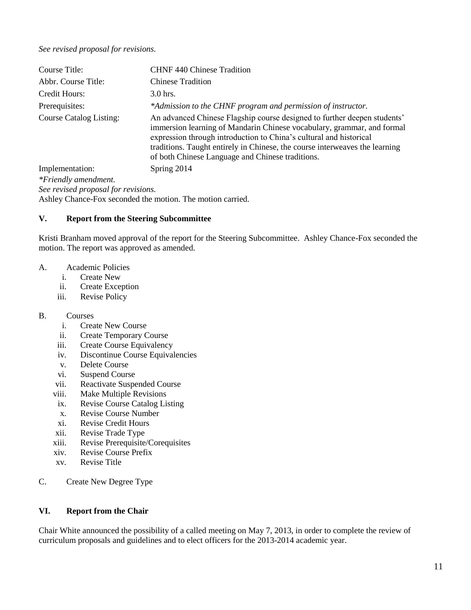### *See revised proposal for revisions.*

| Course Title:                       | <b>CHNF 440 Chinese Tradition</b>                                                                                                                                                                                                                                                                                                                           |
|-------------------------------------|-------------------------------------------------------------------------------------------------------------------------------------------------------------------------------------------------------------------------------------------------------------------------------------------------------------------------------------------------------------|
| Abbr. Course Title:                 | <b>Chinese Tradition</b>                                                                                                                                                                                                                                                                                                                                    |
| Credit Hours:                       | 3.0 hrs.                                                                                                                                                                                                                                                                                                                                                    |
| Prerequisites:                      | *Admission to the CHNF program and permission of instructor.                                                                                                                                                                                                                                                                                                |
| <b>Course Catalog Listing:</b>      | An advanced Chinese Flagship course designed to further deepen students'<br>immersion learning of Mandarin Chinese vocabulary, grammar, and formal<br>expression through introduction to China's cultural and historical<br>traditions. Taught entirely in Chinese, the course interweaves the learning<br>of both Chinese Language and Chinese traditions. |
| Implementation:                     | Spring 2014                                                                                                                                                                                                                                                                                                                                                 |
| *Friendly amendment.                |                                                                                                                                                                                                                                                                                                                                                             |
| See revised proposal for revisions. |                                                                                                                                                                                                                                                                                                                                                             |

Ashley Chance-Fox seconded the motion. The motion carried.

### **V. Report from the Steering Subcommittee**

Kristi Branham moved approval of the report for the Steering Subcommittee. Ashley Chance-Fox seconded the motion. The report was approved as amended.

- A. Academic Policies
	- i. Create New
	- ii. Create Exception
	- iii. Revise Policy

### B. Courses

- i. Create New Course
- ii. Create Temporary Course
- iii. Create Course Equivalency
- iv. Discontinue Course Equivalencies
- v. Delete Course
- vi. Suspend Course
- vii. Reactivate Suspended Course
- viii. Make Multiple Revisions
- ix. Revise Course Catalog Listing
- x. Revise Course Number
- xi. Revise Credit Hours
- xii. Revise Trade Type
- xiii. Revise Prerequisite/Corequisites
- xiv. Revise Course Prefix
- xv. Revise Title
- C. Create New Degree Type

### **VI. Report from the Chair**

Chair White announced the possibility of a called meeting on May 7, 2013, in order to complete the review of curriculum proposals and guidelines and to elect officers for the 2013-2014 academic year.